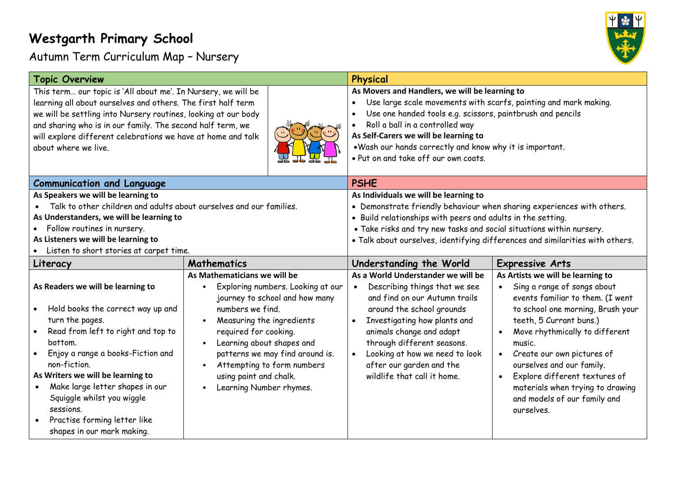## **Westgarth Primary School**

Autumn Term Curriculum Map – Nursery



| <b>Topic Overview</b>                                                                                                                                                                                                                                                                                                                                                                         |                                                                                                                                                                                                                                                                                                                                               | Physical                                                                                                                                                                                                                                                                                                                                                                      |                                                                                                                                                                                                                                                                                                                                                                                                                                       |
|-----------------------------------------------------------------------------------------------------------------------------------------------------------------------------------------------------------------------------------------------------------------------------------------------------------------------------------------------------------------------------------------------|-----------------------------------------------------------------------------------------------------------------------------------------------------------------------------------------------------------------------------------------------------------------------------------------------------------------------------------------------|-------------------------------------------------------------------------------------------------------------------------------------------------------------------------------------------------------------------------------------------------------------------------------------------------------------------------------------------------------------------------------|---------------------------------------------------------------------------------------------------------------------------------------------------------------------------------------------------------------------------------------------------------------------------------------------------------------------------------------------------------------------------------------------------------------------------------------|
| This term our topic is 'All about me'. In Nursery, we will be<br>learning all about ourselves and others. The first half term<br>we will be settling into Nursery routines, looking at our body<br>and sharing who is in our family. The second half term, we<br>will explore different celebrations we have at home and talk<br>about where we live.                                         |                                                                                                                                                                                                                                                                                                                                               | As Movers and Handlers, we will be learning to<br>Use large scale movements with scarfs, painting and mark making.<br>Use one handed tools e.g. scissors, paintbrush and pencils<br>$\bullet$<br>Roll a ball in a controlled way<br>As Self-Carers we will be learning to<br>. Wash our hands correctly and know why it is important.<br>. Put on and take off our own coats. |                                                                                                                                                                                                                                                                                                                                                                                                                                       |
| <b>Communication and Language</b>                                                                                                                                                                                                                                                                                                                                                             |                                                                                                                                                                                                                                                                                                                                               | <b>PSHE</b>                                                                                                                                                                                                                                                                                                                                                                   |                                                                                                                                                                                                                                                                                                                                                                                                                                       |
| As Speakers we will be learning to<br>Talk to other children and adults about ourselves and our families.<br>As Understanders, we will be learning to<br>Follow routines in nursery.<br>As Listeners we will be learning to<br>Listen to short stories at carpet time.                                                                                                                        |                                                                                                                                                                                                                                                                                                                                               | As Individuals we will be learning to<br>• Demonstrate friendly behaviour when sharing experiences with others.<br>• Build relationships with peers and adults in the setting.<br>. Take risks and try new tasks and social situations within nursery.<br>. Talk about ourselves, identifying differences and similarities with others.                                       |                                                                                                                                                                                                                                                                                                                                                                                                                                       |
| Literacy                                                                                                                                                                                                                                                                                                                                                                                      | <b>Mathematics</b>                                                                                                                                                                                                                                                                                                                            | Understanding the World                                                                                                                                                                                                                                                                                                                                                       | <b>Expressive Arts</b>                                                                                                                                                                                                                                                                                                                                                                                                                |
| As Readers we will be learning to<br>Hold books the correct way up and<br>turn the pages.<br>Read from left to right and top to<br>bottom.<br>Enjoy a range a books-Fiction and<br>non-fiction.<br>As Writers we will be learning to<br>Make large letter shapes in our<br>$\bullet$<br>Squiggle whilst you wiggle<br>sessions.<br>Practise forming letter like<br>shapes in our mark making. | As Mathematicians we will be<br>Exploring numbers. Looking at our<br>journey to school and how many<br>numbers we find.<br>Measuring the ingredients<br>required for cooking.<br>Learning about shapes and<br>$\bullet$<br>patterns we may find around is.<br>Attempting to form numbers<br>using paint and chalk.<br>Learning Number rhymes. | As a World Understander we will be<br>Describing things that we see<br>$\bullet$<br>and find on our Autumn trails<br>around the school grounds<br>Investigating how plants and<br>animals change and adapt<br>through different seasons.<br>Looking at how we need to look<br>after our garden and the<br>wildlife that call it home.                                         | As Artists we will be learning to<br>Sing a range of songs about<br>$\bullet$<br>events familiar to them. (I went<br>to school one morning, Brush your<br>teeth, 5 Currant buns.)<br>Move rhythmically to different<br>$\bullet$<br>music.<br>Create our own pictures of<br>ourselves and our family.<br>Explore different textures of<br>$\bullet$<br>materials when trying to drawing<br>and models of our family and<br>ourselves. |